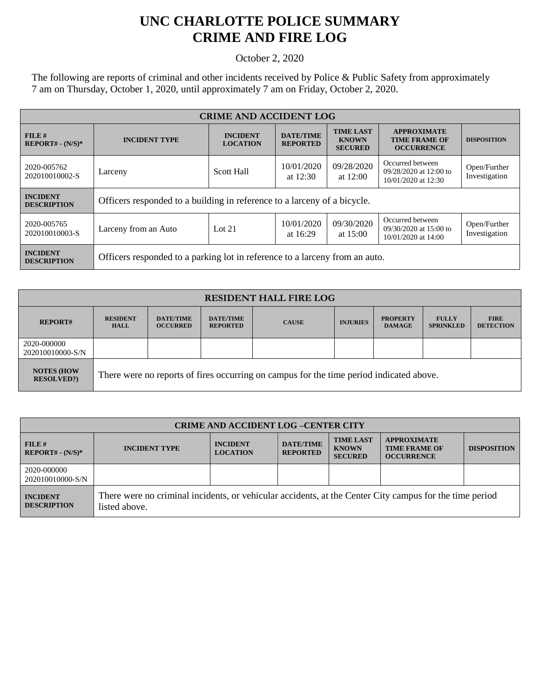## **UNC CHARLOTTE POLICE SUMMARY CRIME AND FIRE LOG**

October 2, 2020

The following are reports of criminal and other incidents received by Police & Public Safety from approximately 7 am on Thursday, October 1, 2020, until approximately 7 am on Friday, October 2, 2020.

| <b>CRIME AND ACCIDENT LOG</b>         |                                                                             |                                    |                                     |                                                    |                                                                   |                               |  |
|---------------------------------------|-----------------------------------------------------------------------------|------------------------------------|-------------------------------------|----------------------------------------------------|-------------------------------------------------------------------|-------------------------------|--|
| $FILE$ #<br>$REPORT# - (N/S)*$        | <b>INCIDENT TYPE</b>                                                        | <b>INCIDENT</b><br><b>LOCATION</b> | <b>DATE/TIME</b><br><b>REPORTED</b> | <b>TIME LAST</b><br><b>KNOWN</b><br><b>SECURED</b> | <b>APPROXIMATE</b><br><b>TIME FRAME OF</b><br><b>OCCURRENCE</b>   | <b>DISPOSITION</b>            |  |
| 2020-005762<br>202010010002-S         | Larceny                                                                     | <b>Scott Hall</b>                  | 10/01/2020<br>at $12:30$            | 09/28/2020<br>at $12:00$                           | Occurred between<br>09/28/2020 at 12:00 to<br>10/01/2020 at 12:30 | Open/Further<br>Investigation |  |
| <b>INCIDENT</b><br><b>DESCRIPTION</b> | Officers responded to a building in reference to a larceny of a bicycle.    |                                    |                                     |                                                    |                                                                   |                               |  |
| 2020-005765<br>202010010003-S         | Larceny from an Auto                                                        | Lot $21$                           | 10/01/2020<br>at $16:29$            | 09/30/2020<br>at $15:00$                           | Occurred between<br>09/30/2020 at 15:00 to<br>10/01/2020 at 14:00 | Open/Further<br>Investigation |  |
| <b>INCIDENT</b><br><b>DESCRIPTION</b> | Officers responded to a parking lot in reference to a larceny from an auto. |                                    |                                     |                                                    |                                                                   |                               |  |

| <b>RESIDENT HALL FIRE LOG</b>         |                                                                                         |                                     |                                     |              |                 |                                  |                                  |                                 |
|---------------------------------------|-----------------------------------------------------------------------------------------|-------------------------------------|-------------------------------------|--------------|-----------------|----------------------------------|----------------------------------|---------------------------------|
| <b>REPORT#</b>                        | <b>RESIDENT</b><br><b>HALL</b>                                                          | <b>DATE/TIME</b><br><b>OCCURRED</b> | <b>DATE/TIME</b><br><b>REPORTED</b> | <b>CAUSE</b> | <b>INJURIES</b> | <b>PROPERTY</b><br><b>DAMAGE</b> | <b>FULLY</b><br><b>SPRINKLED</b> | <b>FIRE</b><br><b>DETECTION</b> |
| 2020-000000<br>202010010000-S/N       |                                                                                         |                                     |                                     |              |                 |                                  |                                  |                                 |
| <b>NOTES (HOW</b><br><b>RESOLVED?</b> | There were no reports of fires occurring on campus for the time period indicated above. |                                     |                                     |              |                 |                                  |                                  |                                 |

| <b>CRIME AND ACCIDENT LOG-CENTER CITY</b> |                                                                                                                          |                                    |                                     |                                                    |                                                                 |                    |  |
|-------------------------------------------|--------------------------------------------------------------------------------------------------------------------------|------------------------------------|-------------------------------------|----------------------------------------------------|-----------------------------------------------------------------|--------------------|--|
| $FILE$ #<br>$REPORT# - (N/S)*$            | <b>INCIDENT TYPE</b>                                                                                                     | <b>INCIDENT</b><br><b>LOCATION</b> | <b>DATE/TIME</b><br><b>REPORTED</b> | <b>TIME LAST</b><br><b>KNOWN</b><br><b>SECURED</b> | <b>APPROXIMATE</b><br><b>TIME FRAME OF</b><br><b>OCCURRENCE</b> | <b>DISPOSITION</b> |  |
| 2020-000000<br>202010010000-S/N           |                                                                                                                          |                                    |                                     |                                                    |                                                                 |                    |  |
| <b>INCIDENT</b><br><b>DESCRIPTION</b>     | There were no criminal incidents, or vehicular accidents, at the Center City campus for the time period<br>listed above. |                                    |                                     |                                                    |                                                                 |                    |  |